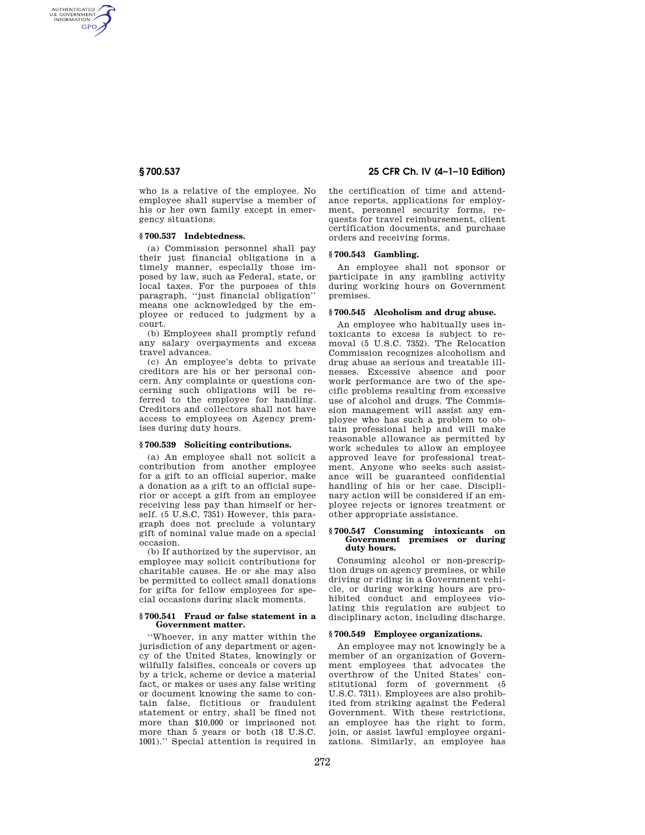AUTHENTICATED<br>U.S. GOVERNMENT<br>INFORMATION **GPO** 

> who is a relative of the employee. No employee shall supervise a member of his or her own family except in emergency situations.

## **§ 700.537 Indebtedness.**

(a) Commission personnel shall pay their just financial obligations in a timely manner, especially those imposed by law, such as Federal, state, or local taxes. For the purposes of this paragraph, ''just financial obligation'' means one acknowledged by the employee or reduced to judgment by a court.

(b) Employees shall promptly refund any salary overpayments and excess travel advances.

(c) An employee's debts to private creditors are his or her personal concern. Any complaints or questions concerning such obligations will be referred to the employee for handling. Creditors and collectors shall not have access to employees on Agency premises during duty hours.

## **§ 700.539 Soliciting contributions.**

(a) An employee shall not solicit a contribution from another employee for a gift to an official superior, make a donation as a gift to an official superior or accept a gift from an employee receiving less pay than himself or herself. (5 U.S.C. 7351) However, this paragraph does not preclude a voluntary gift of nominal value made on a special occasion.

(b) If authorized by the supervisor, an employee may solicit contributions for charitable causes. He or she may also be permitted to collect small donations for gifts for fellow employees for special occasions during slack moments.

## **§ 700.541 Fraud or false statement in a Government matter.**

''Whoever, in any matter within the jurisdiction of any department or agency of the United States, knowingly or wilfully falsifies, conceals or covers up by a trick, scheme or device a material fact, or makes or uses any false writing or document knowing the same to contain false, fictitious or fraudulent statement or entry, shall be fined not more than \$10,000 or imprisoned not more than 5 years or both (18 U.S.C. 1001).'' Special attention is required in

# **§ 700.537 25 CFR Ch. IV (4–1–10 Edition)**

the certification of time and attendance reports, applications for employment, personnel security forms, requests for travel reimbursement, client certification documents, and purchase orders and receiving forms.

# **§ 700.543 Gambling.**

An employee shall not sponsor or participate in any gambling activity during working hours on Government premises.

## **§ 700.545 Alcoholism and drug abuse.**

An employee who habitually uses intoxicants to excess is subject to removal (5 U.S.C. 7352). The Relocation Commission recognizes alcoholism and drug abuse as serious and treatable illnesses. Excessive absence and poor work performance are two of the specific problems resulting from excessive use of alcohol and drugs. The Commission management will assist any employee who has such a problem to obtain professional help and will make reasonable allowance as permitted by work schedules to allow an employee approved leave for professional treatment. Anyone who seeks such assistance will be guaranteed confidential handling of his or her case. Disciplinary action will be considered if an employee rejects or ignores treatment or other appropriate assistance.

#### **§ 700.547 Consuming intoxicants on Government premises or during duty hours.**

Consuming alcohol or non-prescription drugs on agency premises, or while driving or riding in a Government vehicle, or during working hours are prohibited conduct and employees violating this regulation are subject to disciplinary acton, including discharge.

#### **§ 700.549 Employee organizations.**

An employee may not knowingly be a member of an organization of Government employees that advocates the overthrow of the United States' constitutional form of government (5 U.S.C. 7311). Employees are also prohibited from striking against the Federal Government. With these restrictions, an employee has the right to form, join, or assist lawful employee organizations. Similarly, an employee has